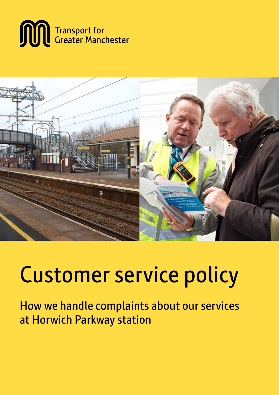



# Customer service policy

How we handle complaints about our services at Horwich Parkway station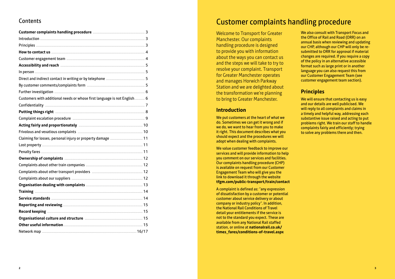#### Contents

| Customers with additional needs or whose first language is not English 6 |       |
|--------------------------------------------------------------------------|-------|
|                                                                          |       |
|                                                                          |       |
|                                                                          |       |
|                                                                          |       |
|                                                                          |       |
| Claiming for losses, personal injury or property damage  11              |       |
|                                                                          |       |
|                                                                          |       |
|                                                                          |       |
|                                                                          |       |
|                                                                          |       |
|                                                                          |       |
|                                                                          |       |
|                                                                          |       |
|                                                                          |       |
|                                                                          |       |
|                                                                          |       |
|                                                                          |       |
|                                                                          |       |
|                                                                          | 16/17 |

### **Customer complaints handling procedure**

**Welcome to Transport for Greater** Manchester. Our complaints handling procedure is designed to provide you with information about the ways you can contact us and the steps we will take to try to resolve your complaint. Transport for Greater Manchester operates and manages Horwich Parkway Station and we are delighted about the transformation we're planning to bring to Greater Manchester.

#### **Introduction**

We put customers at the heart of what we do. Sometimes we can get it wrong and if we do, we want to hear from you to make it right. This document describes what you should expect and the procedures we will adopt when dealing with complaints.

We value customer feedback to improve our services and will provide information to help you comment on our services and facilities. Our complaints handling procedure (CHP) is available on request from our Customer Engagement Team who will give you the link to download it through the website tfgm.com/public-transport/train/contact

A complaint is defined as: "any expression of dissatisfaction by a customer or potential customer about service delivery or about company or industry policy". In addition, the National Rail Conditions of Travel detail your entitlements if the service is not to the standard you expect. These are available from any National Rail staffed station, or online at nationalrail.co.uk/ times fares/conditions-of-travel.aspx

We also consult with Transport Focus and the Office of Rail and Road (ORR) on an annual basis when reviewing and updating our CHP, although our CHP will only be resubmitted to ORR for approval if material changes are required. If you require a copy of the policy in an alternative accessible format such as large print or in another language you can also request this from our Customer Engagement Team (see customer engagement team section).

#### **Principles**

We will ensure that contacting us is easy and our details are well publicised. We will reply to all complaints and claims in a timely and helpful way, addressing each substantive issue raised and acting to put problems right. We train our staff to handle complaints fairly and efficiently; trying to solve any problems there and then.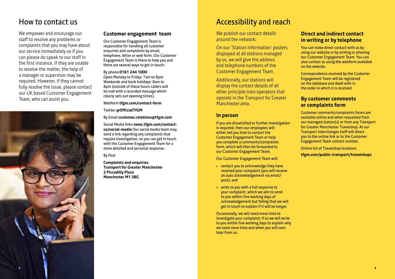### Accessibility and reach

We publish our contact details around the network:

On our 'Station Information' posters displayed at all stations managed by us, we will give the address and telephone numbers of the Customer Engagement Team.

Additionally, our stations will display the contact details of all other principle train operators that operate in the Transport for Greater Manchester area.

#### **In person**

If you are dissatisfied or further investigation is required, then our employees will either tell you how to contact the Customer Engagement Team or help you complete a comments/complaints form, which will then be forwarded to our Customer Engagement Team.

Our Customer Engagement Team will:

- contact you to acknowledge they have received your complaint (you will receive an auto acknowledgement via email/ post); and
- write to you with a full response to your complaint, which we aim to send to you within five working days of acknowledgement but failing that we will get in touch to explain if it will be longer.

Occasionally, we will need more time to investigate your complaint; if so we will write to you within five working days to explain why we need more time and when you will next hear from us.

#### **Direct and indirect contact in writing or by telephone**

You can make direct contact with us by using our website or by writing or phoning our Customer Engagement Team. You can also contact us using the webform available on the website.

Correspondence received by the Customer Engagement Team will be registered on the database and dealt with in the order in which it is received.

#### **By customer comments or complaints form**

Customer comments/complaints forms are available online and when requested from our managed station(s) or from any Transport for Greater Manchester Travelshop. At our Transport Interchanges staff will direct you to the online link or to the Customer Engagement Team contact number.

Online list of Travelshop locations **tfgm.com/public-transport/travelshops**

### How to contact us

We empower and encourage our staff to resolve any problems or complaints that you may have about our service immediately so if you can please do speak to our staff in the first instance. If they are unable to resolve the matter, the help of a manager or supervisor may be required. However, if they cannot fully resolve the issue, please contact our UK based Customer Engagement Team, who can assist you.

#### **Customer engagement team**

Our Customer Engagement Team is responsible for handling all customer enquiries and complaints by email, telephone, letter or web form. Our Customer Engagement Team is there to help you and there are several ways to get in touch:

#### By phone **0161 244 1000**

Open Monday to Friday: 7am to 8pm Weekends and bank holidays: 8am to 8pm (outside of these hours callers will be met with a recorded message which clearly sets out opening times).

#### Webform **tfgm.com/contact-form**

Twitter **@OfficialTfGM**

By Email **customer.relations@tfgm.com**

Social Media links **news.tfgm.com/contactus/social-media** Our social media team may send a link regarding any complaints that require investigation, so you can get in touch with the Customer Engagement Team for a more detailed and personal response.

By Post

**Complaints and enquiries Transport for Greater Manchester 2 Piccadilly Place Manchester M1 3BG**

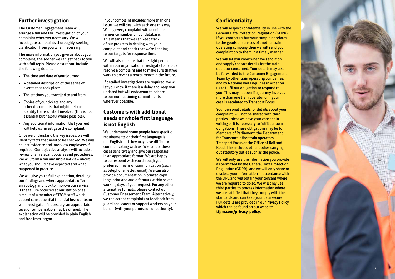#### **Further investigation**

The Customer Engagement Team will arrange a full and fair investigation of your complaint wherever necessary . We will investigate complaints thoroughly, seeking clarification from you when necessary .

The more information you give us about your complaint, the sooner we can get back to you with a full reply . Please ensure you include the following details:

- The time and date of your journey .
- A detailed description of the series of events that took place .
- The stations you travelled to and from .
- Copies of your tickets and any other documents that might help us identify trains or staff involved (this is not essential but helpful where possible) .
- Any additional information that you feel will help us investigate the complaint .

Once we understand the key issues, we will identify facts that need to be checked . We will collect evidence and interview employees if required . Our objective analysis will include a review of all relevant policies and procedures . We will form a fair and unbiased view about what you should have expected and what happened in practice .

We will give you a full explanation, detailing our findings and where appropriate offer an apology and look to improve our service . If the failure occurred at our station or as a result of a member of TfGM staff which caused consequential financial loss our team will investigate, if necessary, an appropriate level of compensation may be offered . The explanation will be provided in plain English and free from jargon .

If your complaint includes more than one issue, we will deal with each one this way . We log every complaint with a unique reference number on our database . This means that we can keep track of our progress in dealing with your complaint and check that we're keeping to our targets for response time .

We will also ensure that the right people within our organisation investigate to help us resolve a complaint and to make sure that we work to prevent a reoccurrence in the future .

If detailed investigations are required, we will let you know if there is a delay and keep you updated but will endeavour to adhere to our normal timing commitments wherever possible .

#### **Customers with additional needs or whole first language is not English**

We understand some people have specific requirements or their first language is not English and they may have difficulty communicating with us . We handle these cases sensitively and give our responses in an appropriate format . We are happy to correspond with you through your preferred means of communication (such as telephone, letter, email) . We can also provide documentation in printed copy, large print and audio formats within seven working days of your request . For any other alternative formats, please contact our Customer Engagement Team . Alternatively, we can accept complaints or feedback from guardians, carers or support workers on your behalf (with your permission or authority) .

#### **Confidentiality**

We will respect confidentiality in line with the General Data Protection Regulation (GDPR) . If you contact us but your complaint relates to the goods or services of another train operating company then we will send your complaint on to them in a timely manner .

We will let you know when we send it on and supply contact details for the train operator concerned . Your details may also be forwarded to the Customer Engagement Team by other train operating companies, and by National Rail Enquiries in order for us to fulfil our obligation to respond to you . This may happen if a journey involves more than one train operator or if your case is escalated to Transport Focus .

Your personal details, or details about your complaint, will not be shared with third parties unless we have your consent in writing or it is necessary to fulfil our own obligations . These obligations may be to Members of Parliament, the Department for Transport, other train operators, Transport Focus or the Office of Rail and Road . This includes other bodies carrying out statutory duties such as the police .

We will only use the information you provide as permitted by the General Data Protection Regulation (GDPR), and we will only share or disclose your information in accordance with the DPL and will obtain your consent where we are required to do so . We will only use third parties to process information where we are satisfied that they comply with these standards and can keep your data secure . Full details are provided in our Privacy Policy, which can be found on our website **tfgm.com/privacy-policy.**

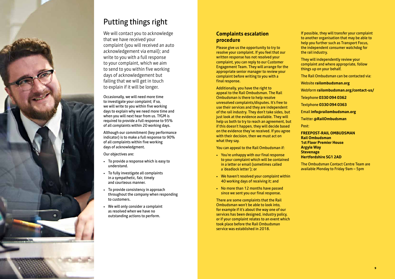# Putting things right

We will contact you to acknowledge that we have received your complaint (you will received an auto acknowledgement via email); and write to you with a full response to your complaint, which we aim to send to you within five working days of acknowledgement but failing that we will get in touch to explain if it will be longer.

Occasionally, we will need more time to investigate your complaint; if so, we will write to you within five working days to explain why we need more time and when you will next hear from us . TfGM is required to provide a full response to 95% of all complaints within 20 working days .

Although our commitment (key performance indicator) is to make a full response to 90% of all complaints within five working days of acknowledgment .

Our objectives are:

- To provide a response which is easy to understand .
- To fully investigate all complaints in a sympathetic, fair, timely and courteous manner .
- To provide consistency in approach throughout the company when responding to customers .
- We will only consider a complaint as resolved when we have no outstanding actions to perform .

#### **Complaints escalation procedure**

Please give us the opportunity to try to resolve your complaint . If you feel that our written response has not resolved your complaint, you can reply to our Customer Engagement Team . They will arrange for the appropriate senior manager to review your complaint before writing to you with a final response .

Additionally, you have the right to appeal to the Rail Ombudsman . The Rail Ombudsman is there to help resolve unresolved complaints/disputes . It's free to use their services and they are independent of the rail industry . They don't take sides, but just look at the evidence available . They will help us both to try to reach an agreement, but if this doesn't happen, they will decide based on the evidence they've received . If you agree with their decision, then we must act on what they say .

You can appeal to the Rail Ombudsman if:

- You're unhappy with our final response to your complaint which will be contained in a letter or email (sometimes called a 'deadlock letter'); or
- We haven't resolved your complaint within 40 working days of receiving it; and
- No more than 12 months have passed since we sent you our final response .

There are some complaints that the Rail Ombudsman won't be able to look into, for example if it's about the way one of our services has been designed, industry policy, or if your complaint relates to an event which took place before the Rail Ombudsman service was established in 2018 .

If possible, they will transfer your complaint to another organisation that may be able to help you further such as Transport Focus, the independent consumer watchdog for the rail industry .

They will independently review your complaint and where appropriate, follow things up on your behalf.

The Rail Ombudsman can be contacted via:

Website **railombudsman.org**

Webform **railombudsman.org/contact-us/**

Telephone **0330 094 0362**

Textphone **0330 094 0363**

Email **info@railombudsman.org**

Twitter **@RailOmbudsman** 

Post:

**FREEPOST-RAIL OMBUDSMAN Rail Ombudsman 1st Floor Premier House Argyle Way Stevenage Hertfordshire SG1 2AD** 

The Ombudsman Contact Centre Team are available Monday to Friday 9am – 5pm

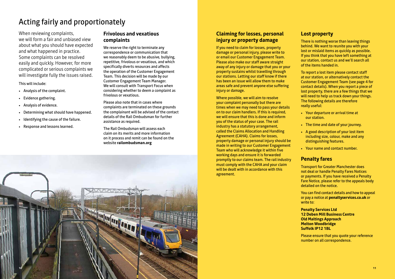# Acting fairly and proportionately

When reviewing complaints, we will form a fair and unbiased view about what you should have expected and what happened in practice. Some complaints can be resolved easily and quickly. However, for more complicated or serious complaints we will investigate fully the issues raised.

This will include:

- Analysis of the complaint.
- Evidence gathering.
- Analysis of evidence.
- Determining what should have happened.
- Identifying the cause of the failure.
- Response and lessons learned.

#### **Frivolous and vexatious complaints**

We reserve the right to terminate any correspondence or communication that we reasonably deem to be abusive, bullying, repetitive, frivolous or vexatious, and which specifically diverts resources and affects the operation of the Customer Engagement Team. This decision will be made by our Customer Engagement Team Manager. We will consult with Transport Focus when considering whether to deem a complaint as frivolous or vexatious.

Please also note that in cases where complaints are terminated on these grounds the complainant will be advised of the contact details of the Rail Ombudsman for further assistance as required.

The Rail Ombudsman will assess each claim on its merits and more information on it process and remit can be found on the website **railombudsman.org**

#### **Claiming for losses, personal injury or property damage**

If you need to claim for losses, property damage or personal injury, please write to or email our Customer Engagement Team. Please also make our staff aware straight away of any injury or damage that you or your property sustains whilst travelling through our stations. Letting our staff know if there has been an issue will allow them to make areas safe and prevent anyone else suffering injury or damage.

Where possible, we will aim to resolve your complaint personally but there are times when we may need to pass your details on to our claim handlers. If this is required, we will ensure that this is done and inform you of the status of your case. The rail industry has a statutory arrangement, called the Claims Allocation and Handling Agreement (CAHA). Claims for losses, property damage or personal injury should be made in writing to our Customer Engagement Team who will acknowledge it within five working days and ensure it is forwarded promptly to our claims team. The rail industry must comply with the CAHA and your claim will be dealt with in accordance with this agreement.

#### **Lost property**

There is nothing worse than leaving things behind. We want to reunite you with your lost or mislaid items as quickly as possible. If you think that you have left something at our station, contact us and we'll search all of the items handed in.

To report a lost item please contact staff at our station, or alternatively contact the Customer Engagement Team (see page 4 for contact details). When you report a piece of lost property, there are a few things that we will need to help us track down your things. The following details are therefore really useful:

- Your departure or arrival time at our station.
- The time and date of your journey.
- A good description of your lost item including size, colour, make and any distinguishing features.
- Your name and contact number.

#### **Penalty fares**

Transport for Greater Manchester does not deal or handle Penalty Fares Notices or payments. If you have received a Penalty Fare Notice, please refer to the appeals body detailed on the notice.

You can find contact details and how to appeal or pay a notice at **penaltyservices.co.uk** or write to:

**Penalty Services Ltd 12 Deben Mill Business Centre Old Maltings Approach Melton Woodbridge Suffolk IP12 1BL**

Please ensure that you quote your reference number on all correspondence.

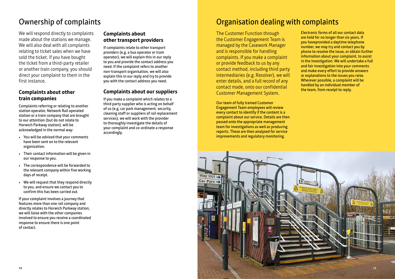# Ownership of complaints

We will respond directly to complaints made about the stations we manage. We will also deal with all complaints relating to ticket sales when we have sold the ticket. If you have bought the ticket from a third-party retailer or another train company, you should direct your complaint to them in the first instance.

#### **Complaints about other train companies**

Complaints referring or relating to another station operator, Network Rail operated station or a train company that are brought to our attention (but do not relate to Horwich Parkway station), will be acknowledged in the normal way:

- You will be advised that your comments have been sent on to the relevant organization.
- Their contact information will be given in our response to you.
- The correspondence will be forwarded to the relevant company within five working days of receipt.
- We will request that they respond directly to you, and ensure we contact you to confirm this has been carried out.

If your complaint involves a journey that features more than one rail company and directly relates to Horwich Parkway station, we will liaise with the other companies involved to ensure you receive a coordinated response to ensure there is one point of contact.

#### **Complaints about other transport providers**

If complaints relate to other transport providers (e.g. a bus operator or tram operator), we will explain this in our reply to you and provide the contact address you need. If the complaint refers to another non-transport organisation, we will also explain this in our reply and try to provide you with the contact address you need.

#### **Complaints about our suppliers**

If you make a complaint which relates to a third party supplier who is acting on behalf of us (e.g. car park management, security, cleaning staff or suppliers of rail replacement services), we will work with the provider to thoroughly investigate the details of your complaint and co-ordinate a response accordingly.

## Organisation dealing with complaints

The Customer Function through the Customer Engagement Team is managed by the Casework Manager and is responsible for handling complaints. If you make a complaint or provide feedback to us by any contact method, including third party intermediaries (e.g. Resolver), we will enter details, and a full record of any contact made, onto our confidential Customer Management System.

Our team of fully trained Customer Engagement Team employees will review every contact to identify if the content is a complaint about our service. Details are then passed onto the appropriate management team for investigations as well as producing reports. These are then analysed for service improvements and regulatory monitoring.

Electronic forms of all our contact data are held for no longer than six years. If you haveprovided a daytime telephone number, we may try and contact you by phone to resolve the issue, or obtain further information about your complaint, to assist in the investigation. We will undertake a full and fair investigation into your comments and make every effort to provide answers or explanations to the issues you raise. Wherever possible, a complaint will be handled by an individual member of the team, from receipt to reply.

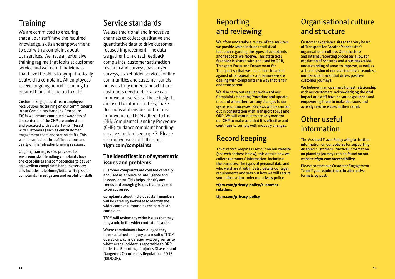# **Training**

We are committed to ensuring that all our staff have the required knowledge, skills andempowerment to deal with a complaint about our services. We have an extensive training regime that looks at customer service and we recruit individuals that have the skills to sympathetically deal with a complaint. All employees receive ongoing periodic training to ensure their skills are up to date.

Customer Engagement Team employees receive specific training on our commitments in our Complaints Handling Procedure. TfGM will ensure continued awareness of the contents of the CHP are understood and practiced with all staff who interact with customers (such as our customer engagement team and station staff). This will be carried out in staff inductions and yearly online refresher briefing sessions.

Ongoing training is also provided to ensureour staff handling complaints have the capabilities and competencies to deliver an excellent complaints handling service; this includes telephone/letter writing skills, complaints investigation and resolution skills.

# Service standards

We use traditional and innovative channels to collect qualitative and quantitative data to drive customerfocused improvement. The data we gather from direct feedback, complaints, customer satisfaction research and surveys, passenger surveys, stakeholder services, online communities and customer panels helps us truly understand what our customers need and how we can improve our services. These insights are used to inform strategy, make decisions and ensure continuous improvement. TfGM adhere to the ORR Complaints Handling Procedure (CHP) guidance complaint handling service standard see page 7. Please see our website for full details: **tfgm.com/complaints**

#### **The identification of systematic issues and problems**

Customer complaints are collated centrally and used as a source of intelligence and lessons learnt. This helps identify any trends and emerging issues that may need to be addressed.

Complaints about individual staff members will be carefully looked at to identify the wider context surrounding the particular complaint.

TfGM will review any wider issues that may play a role in the wider context of events.

Where complainants have alleged they have sustained an injury as a result of TfGM operations, consideration will be given as to whether the incident is reportable to ORR under the Reporting of Injuries Diseases and Dangerous Occurrences Regulations 2013 (RIDDOR).

### Reporting and reviewing

We often undertake a review of the services we provide which includes statistical feedback regarding the types of complaints and feedback we receive. This statistical feedback is shared with and used by ORR, Transport Focus and Department for Transport so that we can be benchmarked against other operators and ensure we are dealing with complaints in a way that is fair and transparent.

We also carry out regular reviews of our Complaints Handling Procedure and update it as and when there are any changes to our systems or processes. Reviews will be carried out in consultation with Transport Focus and ORR. We will continue to actively monitor our CHP to make sure that it is effective and continues to comply with industry changes.

### Record keeping

TfGM record keeping is set out on our website (see web address below), this details how we collect customers' information. Including: the purposes, the types of personal data and who we share it with. It also details our legal requirements and sets out how we will secure your information under our privacy policy.

**tfgm.com/privacy-policy/customerrelations**

**tfgm.com/privacy-policy**

### Organisational culture and structure

Customer experience sits at the very heart of Transport for Greater Manchester's organisational culture. Our structure and internal reporting processes allow for escalation of concerns and a business-wide understanding of areas to improve, as well as a shared vision of our goal to deliver seamless multi-modal travel that drives positive customer journeys.

We believe in an open and honest relationship with our customers, acknowledging the vital impact our staff have on your experience and empowering them to make decisions and actively resolve issues in their remit.

# Other useful information

The Assisted Travel Policy will give further information on our policies for supporting disabled customers. Practical information on planning journeys can be found on our website **tfgm.com/accessibility**

Please contact our Customer Engagement Team if you require these in alternative formats by post.